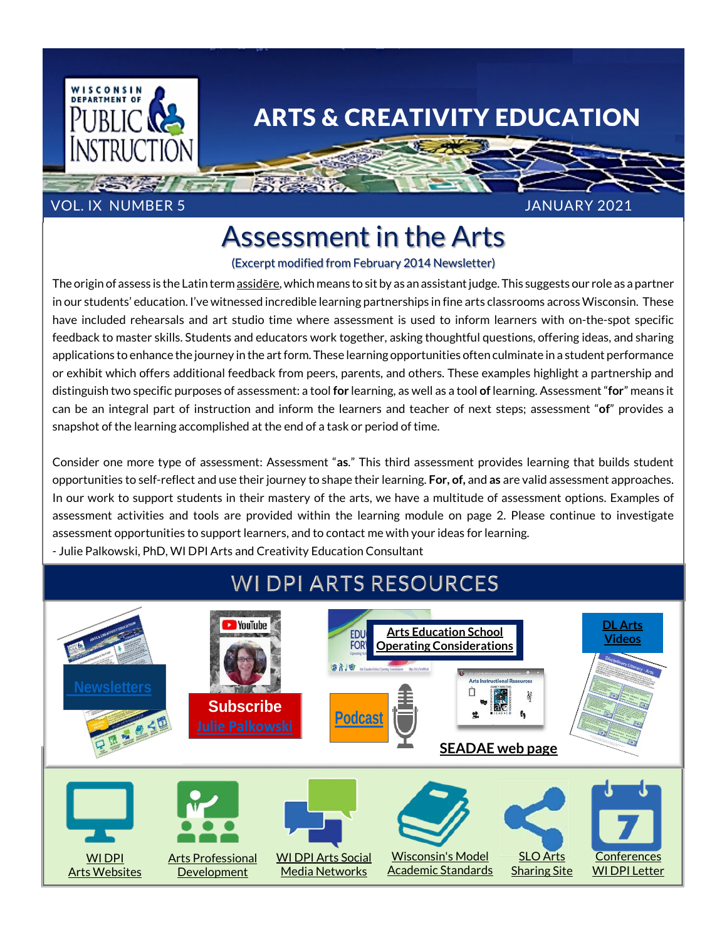

## ARTS & CREATIVITY EDUCATION

#### VOL. IX NUMBER 5 JANUARY 2021

# Assessment in the Arts

(Excerpt modified from February 2014 Newsletter)

The origin of assess is the Latin term [assid](http://www.thefreedictionary.com/assess)ere, which means to sit by as an assistant judge. This suggests our role as a partner in our students' education. I've witnessed incredible learning partnerships in fine arts classrooms across Wisconsin. These have included rehearsals and art studio time where assessment is used to inform learners with on-the-spot specific feedback to master skills. Students and educators work together, asking thoughtful questions, offering ideas, and sharing applications to enhance the journey in the art form. These learning opportunities often culminate in a student performance or exhibit which offers additional feedback from peers, parents, and others. These examples highlight a partnership and distinguish two specific purposes of assessment: a tool **for** learning, as well as a tool **of** learning. Assessment "**for**" means it can be an integral part of instruction and inform the learners and teacher of next steps; assessment "**of**" provides a snapshot of the learning accomplished at the end of a task or period of time.

Consider one more type of assessment: Assessment "**as**." This third assessment provides learning that builds student opportunities to self-reflect and use their journey to shape their learning. **For, of,** and **as** are valid assessment approaches. In our work to support students in their mastery of the arts, we have a multitude of assessment options. Examples of assessment activities and tools are provided within the learning module on page 2. Please continue to investigate assessment opportunities to support learners, and to contact me with your ideas for learning. - Julie Palkowski, PhD, WI DPI Arts and Creativity Education Consultant

### **WI DPI ARTS RESOURCES**